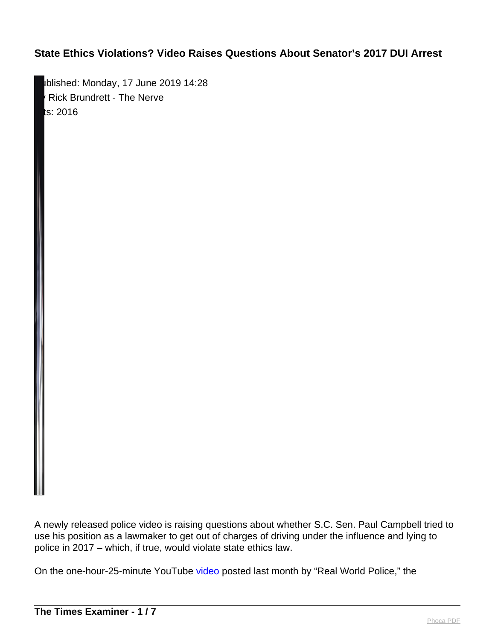Iblished: Monday, 17 June 2019 14:28 Rick Brundrett - The Nerve  $ts: 2016$ 

A newly released police video is raising questions about whether S.C. Sen. Paul Campbell tried to use his position as a lawmaker to get out of charges of driving under the influence and lying to police in 2017 – which, if true, would violate state ethics law.

On the one-hour-25-minute YouTube [video](https://youtu.be/rjkbpXYwvpI) posted last month by "Real World Police," the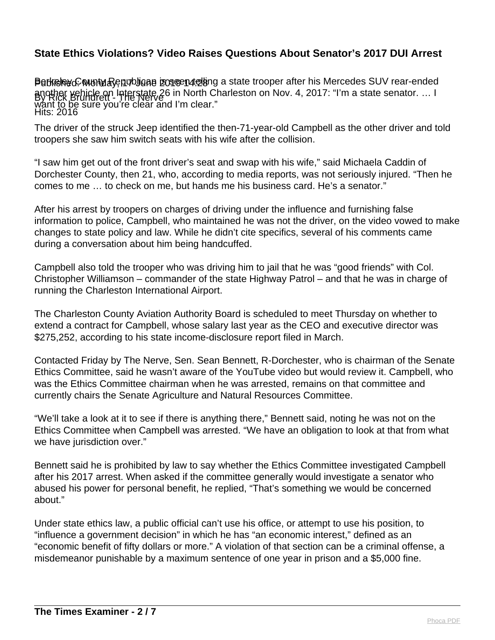Perkeley C wunty Republican izoseen telang a state trooper after his Mercedes SUV rear-ended By Rick Brundrett - The Nerve Hits: 2016 another vehicle on Interstate 26 in North Charleston on Nov. 4, 2017: "I'm a state senator. … I want to be sure you're clear and I'm clear."

The driver of the struck Jeep identified the then-71-year-old Campbell as the other driver and told troopers she saw him switch seats with his wife after the collision.

"I saw him get out of the front driver's seat and swap with his wife," said Michaela Caddin of Dorchester County, then 21, who, according to media reports, was not seriously injured. "Then he comes to me … to check on me, but hands me his business card. He's a senator."

After his arrest by troopers on charges of driving under the influence and furnishing false information to police, Campbell, who maintained he was not the driver, on the video vowed to make changes to state policy and law. While he didn't cite specifics, several of his comments came during a conversation about him being handcuffed.

Campbell also told the trooper who was driving him to jail that he was "good friends" with Col. Christopher Williamson – commander of the state Highway Patrol – and that he was in charge of running the Charleston International Airport.

The Charleston County Aviation Authority Board is scheduled to meet Thursday on whether to extend a contract for Campbell, whose salary last year as the CEO and executive director was \$275,252, according to his state income-disclosure report filed in March.

Contacted Friday by The Nerve, Sen. Sean Bennett, R-Dorchester, who is chairman of the Senate Ethics Committee, said he wasn't aware of the YouTube video but would review it. Campbell, who was the Ethics Committee chairman when he was arrested, remains on that committee and currently chairs the Senate Agriculture and Natural Resources Committee.

"We'll take a look at it to see if there is anything there," Bennett said, noting he was not on the Ethics Committee when Campbell was arrested. "We have an obligation to look at that from what we have jurisdiction over."

Bennett said he is prohibited by law to say whether the Ethics Committee investigated Campbell after his 2017 arrest. When asked if the committee generally would investigate a senator who abused his power for personal benefit, he replied, "That's something we would be concerned about."

Under state ethics law, a public official can't use his office, or attempt to use his position, to "influence a government decision" in which he has "an economic interest," defined as an "economic benefit of fifty dollars or more." A violation of that section can be a criminal offense, a misdemeanor punishable by a maximum sentence of one year in prison and a \$5,000 fine.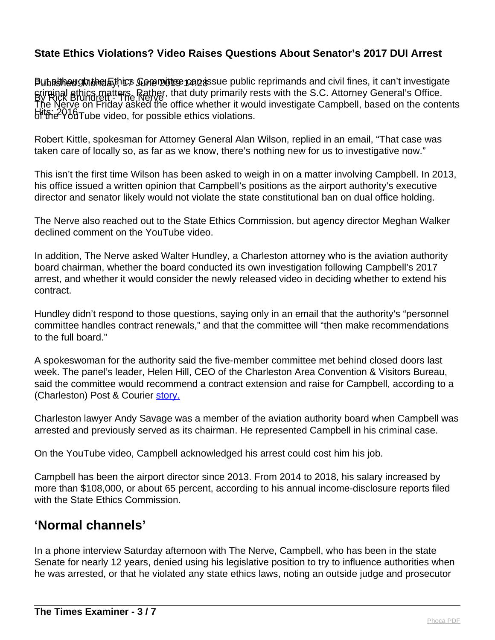Pubruhough the Ethics Comentice can assue public reprimands and civil fines, it can't investigate By Rick Brundrett - The Nerve criminal ethics matters. Rather, that duty primarily rests with the S.C. Attorney General's Office. Hits: 2016 Tube video, for possible ethics violations. The Nerve on Friday asked the office whether it would investigate Campbell, based on the contents

Robert Kittle, spokesman for Attorney General Alan Wilson, replied in an email, "That case was taken care of locally so, as far as we know, there's nothing new for us to investigative now."

This isn't the first time Wilson has been asked to weigh in on a matter involving Campbell. In 2013, his office issued a written opinion that Campbell's positions as the airport authority's executive director and senator likely would not violate the state constitutional ban on dual office holding.

The Nerve also reached out to the State Ethics Commission, but agency director Meghan Walker declined comment on the YouTube video.

In addition, The Nerve asked Walter Hundley, a Charleston attorney who is the aviation authority board chairman, whether the board conducted its own investigation following Campbell's 2017 arrest, and whether it would consider the newly released video in deciding whether to extend his contract.

Hundley didn't respond to those questions, saying only in an email that the authority's "personnel committee handles contract renewals," and that the committee will "then make recommendations to the full board."

A spokeswoman for the authority said the five-member committee met behind closed doors last week. The panel's leader, Helen Hill, CEO of the Charleston Area Convention & Visitors Bureau, said the committee would recommend a contract extension and raise for Campbell, according to a (Charleston) Post & Courier [story.](https://www.postandcourier.com/business/after-years-of-steady-growth-charleston-airport-considers-extending-its/article_ca914bc8-8d49-11e9-b4cf-1b36d69b5b74.html)

Charleston lawyer Andy Savage was a member of the aviation authority board when Campbell was arrested and previously served as its chairman. He represented Campbell in his criminal case.

On the YouTube video, Campbell acknowledged his arrest could cost him his job.

Campbell has been the airport director since 2013. From 2014 to 2018, his salary increased by more than \$108,000, or about 65 percent, according to his annual income-disclosure reports filed with the State Ethics Commission.

# **'Normal channels'**

In a phone interview Saturday afternoon with The Nerve, Campbell, who has been in the state Senate for nearly 12 years, denied using his legislative position to try to influence authorities when he was arrested, or that he violated any state ethics laws, noting an outside judge and prosecutor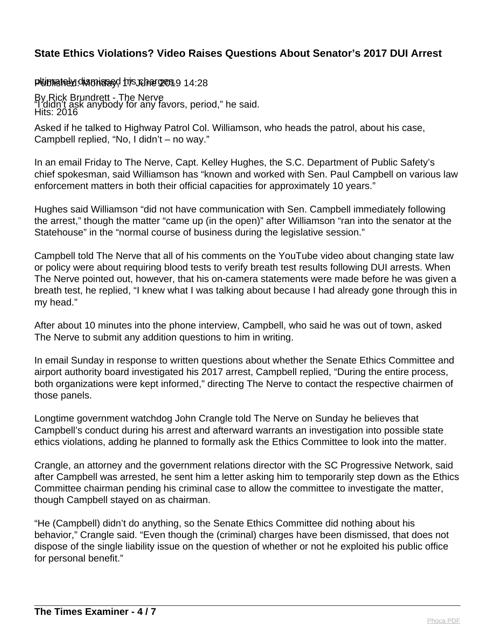#### pluimiately dismissed his charges 9 14:28

By Rick Brundrett - The Nerve Hits: 2016 "I didn't ask anybody for any favors, period," he said.

Asked if he talked to Highway Patrol Col. Williamson, who heads the patrol, about his case, Campbell replied, "No, I didn't – no way."

In an email Friday to The Nerve, Capt. Kelley Hughes, the S.C. Department of Public Safety's chief spokesman, said Williamson has "known and worked with Sen. Paul Campbell on various law enforcement matters in both their official capacities for approximately 10 years."

Hughes said Williamson "did not have communication with Sen. Campbell immediately following the arrest," though the matter "came up (in the open)" after Williamson "ran into the senator at the Statehouse" in the "normal course of business during the legislative session."

Campbell told The Nerve that all of his comments on the YouTube video about changing state law or policy were about requiring blood tests to verify breath test results following DUI arrests. When The Nerve pointed out, however, that his on-camera statements were made before he was given a breath test, he replied, "I knew what I was talking about because I had already gone through this in my head."

After about 10 minutes into the phone interview, Campbell, who said he was out of town, asked The Nerve to submit any addition questions to him in writing.

In email Sunday in response to written questions about whether the Senate Ethics Committee and airport authority board investigated his 2017 arrest, Campbell replied, "During the entire process, both organizations were kept informed," directing The Nerve to contact the respective chairmen of those panels.

Longtime government watchdog John Crangle told The Nerve on Sunday he believes that Campbell's conduct during his arrest and afterward warrants an investigation into possible state ethics violations, adding he planned to formally ask the Ethics Committee to look into the matter.

Crangle, an attorney and the government relations director with the SC Progressive Network, said after Campbell was arrested, he sent him a letter asking him to temporarily step down as the Ethics Committee chairman pending his criminal case to allow the committee to investigate the matter, though Campbell stayed on as chairman.

"He (Campbell) didn't do anything, so the Senate Ethics Committee did nothing about his behavior," Crangle said. "Even though the (criminal) charges have been dismissed, that does not dispose of the single liability issue on the question of whether or not he exploited his public office for personal benefit."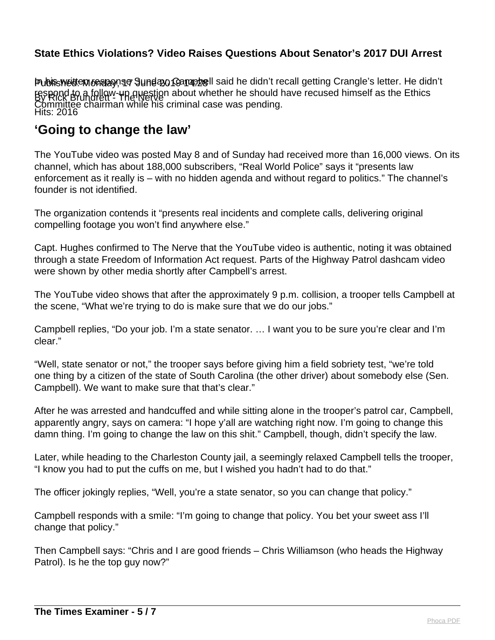Publis Weldt em opslagn af June 220 Koanap 28 By Rick Brundrett<sup>y</sup> The Nerve Hits: 2016 Publis weitten response Sunday, Campbell said he didn't recall getting Crangle's letter. He didn't respond to a follow-up question about whether he should have recused himself as the Ethics Committee chairman while his criminal case was pending.

# **'Going to change the law'**

The YouTube video was posted May 8 and of Sunday had received more than 16,000 views. On its channel, which has about 188,000 subscribers, "Real World Police" says it "presents law enforcement as it really is – with no hidden agenda and without regard to politics." The channel's founder is not identified.

The organization contends it "presents real incidents and complete calls, delivering original compelling footage you won't find anywhere else."

Capt. Hughes confirmed to The Nerve that the YouTube video is authentic, noting it was obtained through a state Freedom of Information Act request. Parts of the Highway Patrol dashcam video were shown by other media shortly after Campbell's arrest.

The YouTube video shows that after the approximately 9 p.m. collision, a trooper tells Campbell at the scene, "What we're trying to do is make sure that we do our jobs."

Campbell replies, "Do your job. I'm a state senator. … I want you to be sure you're clear and I'm clear."

"Well, state senator or not," the trooper says before giving him a field sobriety test, "we're told one thing by a citizen of the state of South Carolina (the other driver) about somebody else (Sen. Campbell). We want to make sure that that's clear."

After he was arrested and handcuffed and while sitting alone in the trooper's patrol car, Campbell, apparently angry, says on camera: "I hope y'all are watching right now. I'm going to change this damn thing. I'm going to change the law on this shit." Campbell, though, didn't specify the law.

Later, while heading to the Charleston County jail, a seemingly relaxed Campbell tells the trooper, "I know you had to put the cuffs on me, but I wished you hadn't had to do that."

The officer jokingly replies, "Well, you're a state senator, so you can change that policy."

Campbell responds with a smile: "I'm going to change that policy. You bet your sweet ass I'll change that policy."

Then Campbell says: "Chris and I are good friends – Chris Williamson (who heads the Highway Patrol). Is he the top guy now?"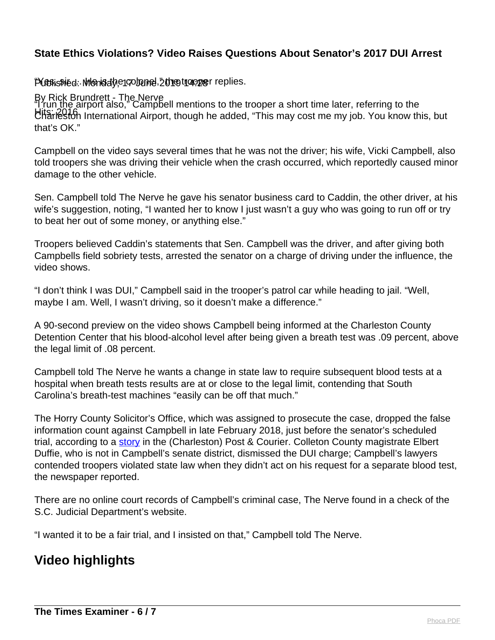### Published: Monday, encolonel, 2019 the copper replies.

#### By Rick Brundrett - The Nerve

Hits: 2016 Charleston International Airport, though he added, "This may cost me my job. You know this, but "I run the airport also," Campbell mentions to the trooper a short time later, referring to the that's OK."

Campbell on the video says several times that he was not the driver; his wife, Vicki Campbell, also told troopers she was driving their vehicle when the crash occurred, which reportedly caused minor damage to the other vehicle.

Sen. Campbell told The Nerve he gave his senator business card to Caddin, the other driver, at his wife's suggestion, noting, "I wanted her to know I just wasn't a guy who was going to run off or try to beat her out of some money, or anything else."

Troopers believed Caddin's statements that Sen. Campbell was the driver, and after giving both Campbells field sobriety tests, arrested the senator on a charge of driving under the influence, the video shows.

"I don't think I was DUI," Campbell said in the trooper's patrol car while heading to jail. "Well, maybe I am. Well, I wasn't driving, so it doesn't make a difference."

A 90-second preview on the video shows Campbell being informed at the Charleston County Detention Center that his blood-alcohol level after being given a breath test was .09 percent, above the legal limit of .08 percent.

Campbell told The Nerve he wants a change in state law to require subsequent blood tests at a hospital when breath tests results are at or close to the legal limit, contending that South Carolina's breath-test machines "easily can be off that much."

The Horry County Solicitor's Office, which was assigned to prosecute the case, dropped the false information count against Campbell in late February 2018, just before the senator's scheduled trial, according to a [story](https://www.postandcourier.com/news/judge-dismisses-dui-charge-against-sen-paul-campbell-one-day/article_288a334e-1c89-11e8-826f-5f7bf5c3dcf3.html) in the (Charleston) Post & Courier. Colleton County magistrate Elbert Duffie, who is not in Campbell's senate district, dismissed the DUI charge; Campbell's lawyers contended troopers violated state law when they didn't act on his request for a separate blood test, the newspaper reported.

There are no online court records of Campbell's criminal case, The Nerve found in a check of the S.C. Judicial Department's website.

"I wanted it to be a fair trial, and I insisted on that," Campbell told The Nerve.

# **Video highlights**